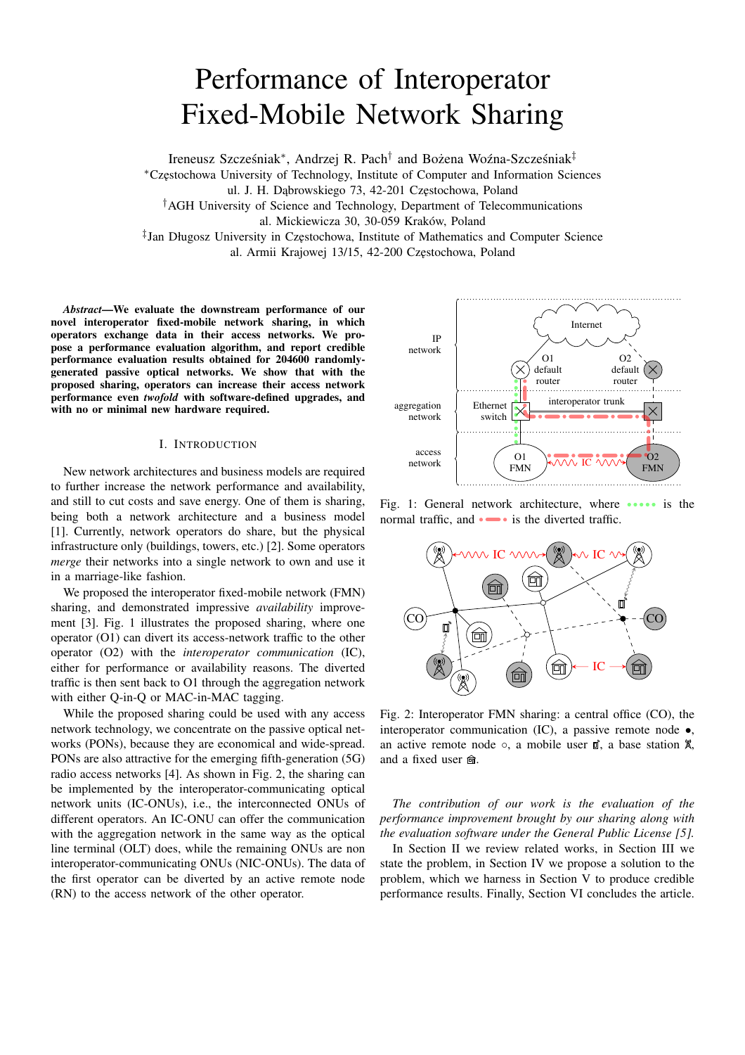# Performance of Interoperator Fixed-Mobile Network Sharing

Ireneusz Szcześniak\*, Andrzej R. Pach<sup>†</sup> and Bożena Woźna-Szcześniak<sup>‡</sup>

<sup>∗</sup>Cz˛estochowa University of Technology, Institute of Computer and Information Sciences

ul. J. H. Dąbrowskiego 73, 42-201 Częstochowa, Poland

†AGH University of Science and Technology, Department of Telecommunications al. Mickiewicza 30, 30-059 Kraków, Poland

‡ Jan Długosz University in Cz˛estochowa, Institute of Mathematics and Computer Science al. Armii Krajowej 13/15, 42-200 Częstochowa, Poland

*Abstract*—We evaluate the downstream performance of our novel interoperator fixed-mobile network sharing, in which operators exchange data in their access networks. We propose a performance evaluation algorithm, and report credible performance evaluation results obtained for 204600 randomlygenerated passive optical networks. We show that with the proposed sharing, operators can increase their access network performance even *twofold* with software-defined upgrades, and with no or minimal new hardware required.

# I. INTRODUCTION

New network architectures and business models are required to further increase the network performance and availability, and still to cut costs and save energy. One of them is sharing, being both a network architecture and a business model [1]. Currently, network operators do share, but the physical infrastructure only (buildings, towers, etc.) [2]. Some operators *merge* their networks into a single network to own and use it in a marriage-like fashion.

We proposed the interoperator fixed-mobile network (FMN) sharing, and demonstrated impressive *availability* improvement [3]. Fig. 1 illustrates the proposed sharing, where one operator (O1) can divert its access-network traffic to the other operator (O2) with the *interoperator communication* (IC), either for performance or availability reasons. The diverted traffic is then sent back to O1 through the aggregation network with either Q-in-Q or MAC-in-MAC tagging.

While the proposed sharing could be used with any access network technology, we concentrate on the passive optical networks (PONs), because they are economical and wide-spread. PONs are also attractive for the emerging fifth-generation (5G) radio access networks [4]. As shown in Fig. 2, the sharing can be implemented by the interoperator-communicating optical network units (IC-ONUs), i.e., the interconnected ONUs of different operators. An IC-ONU can offer the communication with the aggregation network in the same way as the optical line terminal (OLT) does, while the remaining ONUs are non interoperator-communicating ONUs (NIC-ONUs). The data of the first operator can be diverted by an active remote node (RN) to the access network of the other operator.



Fig. 1: General network architecture, where **....** is the normal traffic, and  $\bullet \bullet \bullet$  is the diverted traffic.



Fig. 2: Interoperator FMN sharing: a central office (CO), the interoperator communication (IC), a passive remote node •, an active remote node  $\circ$ , a mobile user  $\mathbb{D}$ , a base station  $\mathbb{X}$ , and a fixed user  $\hat{m}$ .

*The contribution of our work is the evaluation of the performance improvement brought by our sharing along with the evaluation software under the General Public License [5].*

In Section II we review related works, in Section III we state the problem, in Section IV we propose a solution to the problem, which we harness in Section V to produce credible performance results. Finally, Section VI concludes the article.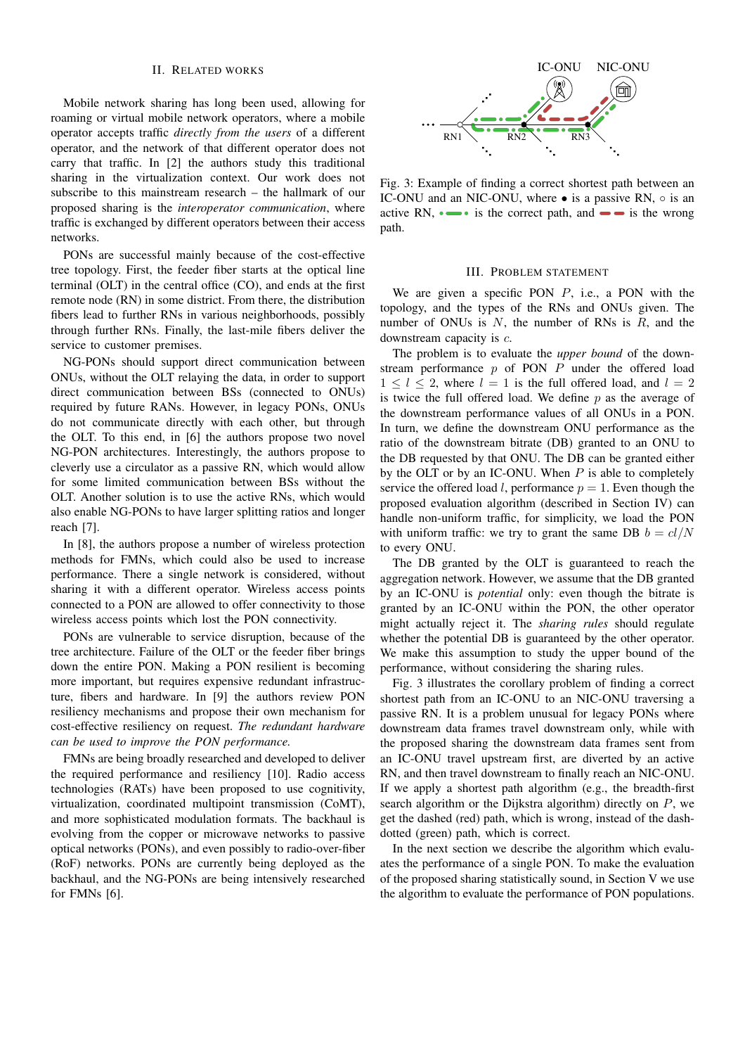#### II. RELATED WORKS

Mobile network sharing has long been used, allowing for roaming or virtual mobile network operators, where a mobile operator accepts traffic *directly from the users* of a different operator, and the network of that different operator does not carry that traffic. In [2] the authors study this traditional sharing in the virtualization context. Our work does not subscribe to this mainstream research – the hallmark of our proposed sharing is the *interoperator communication*, where traffic is exchanged by different operators between their access networks.

PONs are successful mainly because of the cost-effective tree topology. First, the feeder fiber starts at the optical line terminal (OLT) in the central office (CO), and ends at the first remote node (RN) in some district. From there, the distribution fibers lead to further RNs in various neighborhoods, possibly through further RNs. Finally, the last-mile fibers deliver the service to customer premises.

NG-PONs should support direct communication between ONUs, without the OLT relaying the data, in order to support direct communication between BSs (connected to ONUs) required by future RANs. However, in legacy PONs, ONUs do not communicate directly with each other, but through the OLT. To this end, in [6] the authors propose two novel NG-PON architectures. Interestingly, the authors propose to cleverly use a circulator as a passive RN, which would allow for some limited communication between BSs without the OLT. Another solution is to use the active RNs, which would also enable NG-PONs to have larger splitting ratios and longer reach [7].

In [8], the authors propose a number of wireless protection methods for FMNs, which could also be used to increase performance. There a single network is considered, without sharing it with a different operator. Wireless access points connected to a PON are allowed to offer connectivity to those wireless access points which lost the PON connectivity.

PONs are vulnerable to service disruption, because of the tree architecture. Failure of the OLT or the feeder fiber brings down the entire PON. Making a PON resilient is becoming more important, but requires expensive redundant infrastructure, fibers and hardware. In [9] the authors review PON resiliency mechanisms and propose their own mechanism for cost-effective resiliency on request. *The redundant hardware can be used to improve the PON performance.*

FMNs are being broadly researched and developed to deliver the required performance and resiliency [10]. Radio access technologies (RATs) have been proposed to use cognitivity, virtualization, coordinated multipoint transmission (CoMT), and more sophisticated modulation formats. The backhaul is evolving from the copper or microwave networks to passive optical networks (PONs), and even possibly to radio-over-fiber (RoF) networks. PONs are currently being deployed as the backhaul, and the NG-PONs are being intensively researched for FMNs [6].



Fig. 3: Example of finding a correct shortest path between an IC-ONU and an NIC-ONU, where • is a passive RN,  $\circ$  is an active RN,  $\bullet \bullet \bullet$  is the correct path, and  $\bullet \bullet$  is the wrong path.

#### III. PROBLEM STATEMENT

We are given a specific PON  $P$ , i.e., a PON with the topology, and the types of the RNs and ONUs given. The number of ONUs is  $N$ , the number of RNs is  $R$ , and the downstream capacity is c.

The problem is to evaluate the *upper bound* of the downstream performance  $p$  of PON  $P$  under the offered load  $1 \leq l \leq 2$ , where  $l = 1$  is the full offered load, and  $l = 2$ is twice the full offered load. We define  $p$  as the average of the downstream performance values of all ONUs in a PON. In turn, we define the downstream ONU performance as the ratio of the downstream bitrate (DB) granted to an ONU to the DB requested by that ONU. The DB can be granted either by the OLT or by an IC-ONU. When  $P$  is able to completely service the offered load l, performance  $p = 1$ . Even though the proposed evaluation algorithm (described in Section IV) can handle non-uniform traffic, for simplicity, we load the PON with uniform traffic: we try to grant the same DB  $b = cl/N$ to every ONU.

The DB granted by the OLT is guaranteed to reach the aggregation network. However, we assume that the DB granted by an IC-ONU is *potential* only: even though the bitrate is granted by an IC-ONU within the PON, the other operator might actually reject it. The *sharing rules* should regulate whether the potential DB is guaranteed by the other operator. We make this assumption to study the upper bound of the performance, without considering the sharing rules.

Fig. 3 illustrates the corollary problem of finding a correct shortest path from an IC-ONU to an NIC-ONU traversing a passive RN. It is a problem unusual for legacy PONs where downstream data frames travel downstream only, while with the proposed sharing the downstream data frames sent from an IC-ONU travel upstream first, are diverted by an active RN, and then travel downstream to finally reach an NIC-ONU. If we apply a shortest path algorithm (e.g., the breadth-first search algorithm or the Dijkstra algorithm) directly on  $P$ , we get the dashed (red) path, which is wrong, instead of the dashdotted (green) path, which is correct.

In the next section we describe the algorithm which evaluates the performance of a single PON. To make the evaluation of the proposed sharing statistically sound, in Section V we use the algorithm to evaluate the performance of PON populations.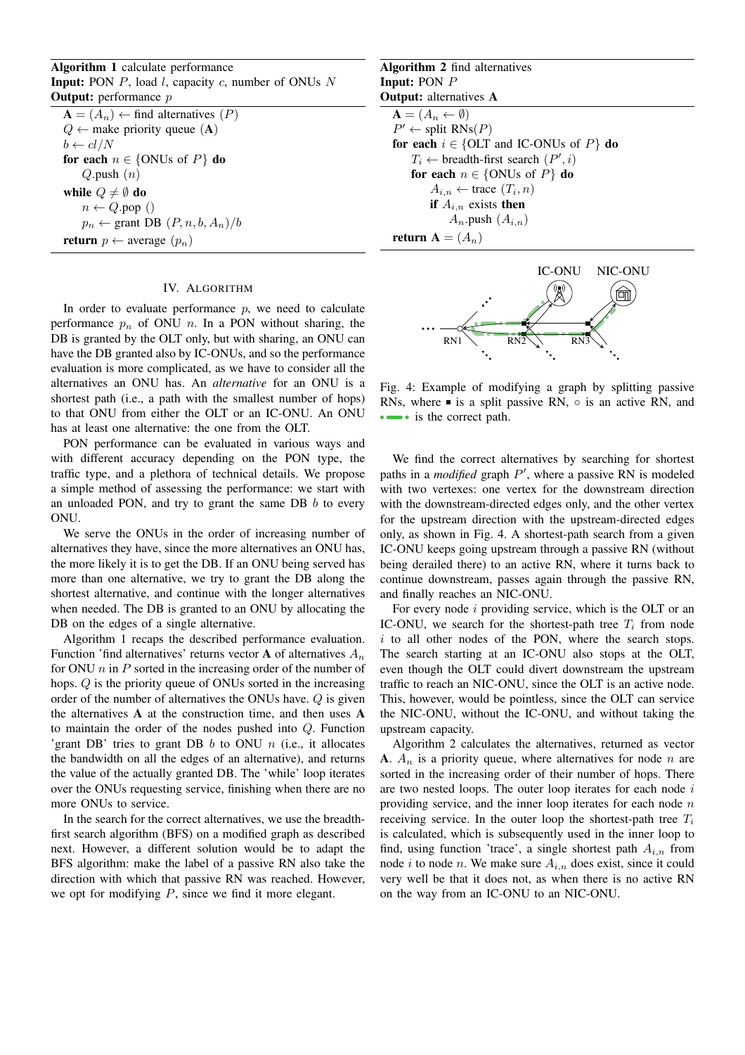Algorithm 1 calculate performance **Input:** PON  $P$ , load  $l$ , capacity  $c$ , number of ONUs  $N$ **Output:** performance  $p$ 

 $A = (A_n) \leftarrow$  find alternatives  $(P)$  $Q \leftarrow$  make priority queue (A)  $b \leftarrow cl/N$ for each  $n \in \{ONUs \text{ of } P\}$  do  $Q$ .push  $(n)$ while  $Q \neq \emptyset$  do  $n \leftarrow Q$ .pop ()  $p_n \leftarrow$  grant DB  $(P, n, b, A_n)/b$ return  $p \leftarrow \text{average}(p_n)$ 

## IV. ALGORITHM

In order to evaluate performance  $p$ , we need to calculate performance  $p_n$  of ONU n. In a PON without sharing, the DB is granted by the OLT only, but with sharing, an ONU can have the DB granted also by IC-ONUs, and so the performance evaluation is more complicated, as we have to consider all the alternatives an ONU has. An *alternative* for an ONU is a shortest path (i.e., a path with the smallest number of hops) to that ONU from either the OLT or an IC-ONU. An ONU has at least one alternative: the one from the OLT.

PON performance can be evaluated in various ways and with different accuracy depending on the PON type, the traffic type, and a plethora of technical details. We propose a simple method of assessing the performance: we start with an unloaded PON, and try to grant the same DB  $b$  to every ONU.

We serve the ONUs in the order of increasing number of alternatives they have, since the more alternatives an ONU has, the more likely it is to get the DB. If an ONU being served has more than one alternative, we try to grant the DB along the shortest alternative, and continue with the longer alternatives when needed. The DB is granted to an ONU by allocating the DB on the edges of a single alternative.

Algorithm 1 recaps the described performance evaluation. Function 'find alternatives' returns vector **A** of alternatives  $A_n$ for ONU  $n$  in  $P$  sorted in the increasing order of the number of hops. Q is the priority queue of ONUs sorted in the increasing order of the number of alternatives the ONUs have. Q is given the alternatives A at the construction time, and then uses A to maintain the order of the nodes pushed into Q. Function 'grant DB' tries to grant DB  $b$  to ONU  $n$  (i.e., it allocates the bandwidth on all the edges of an alternative), and returns the value of the actually granted DB. The 'while' loop iterates over the ONUs requesting service, finishing when there are no more ONUs to service.

In the search for the correct alternatives, we use the breadthfirst search algorithm (BFS) on a modified graph as described next. However, a different solution would be to adapt the BFS algorithm: make the label of a passive RN also take the direction with which that passive RN was reached. However, we opt for modifying  $P$ , since we find it more elegant.

Algorithm 2 find alternatives Input: PON P Output: alternatives A  $\mathbf{A} = (A_n \leftarrow \emptyset)$  $P' \leftarrow$  split  $\mathsf{RNs}(P)$ for each  $i \in \{$ OLT and IC-ONUs of  $P\}$  do  $T_i \leftarrow$  breadth-first search  $(P', i)$ for each  $n \in \{ONUs \text{ of } P\}$  do  $A_{i,n} \leftarrow \text{trace}(T_i, n)$ if  $A_{i,n}$  exists then  $A_n$ .push  $(A_{i,n})$ return  $A = (A_n)$ 



Fig. 4: Example of modifying a graph by splitting passive RNs, where  $\blacksquare$  is a split passive RN,  $\circ$  is an active RN, and  $\bullet \bullet$  is the correct path.

We find the correct alternatives by searching for shortest paths in a *modified* graph  $P'$ , where a passive RN is modeled with two vertexes: one vertex for the downstream direction with the downstream-directed edges only, and the other vertex for the upstream direction with the upstream-directed edges only, as shown in Fig. 4. A shortest-path search from a given IC-ONU keeps going upstream through a passive RN (without being derailed there) to an active RN, where it turns back to continue downstream, passes again through the passive RN, and finally reaches an NIC-ONU.

For every node  $i$  providing service, which is the OLT or an IC-ONU, we search for the shortest-path tree  $T_i$  from node  $i$  to all other nodes of the PON, where the search stops. The search starting at an IC-ONU also stops at the OLT, even though the OLT could divert downstream the upstream traffic to reach an NIC-ONU, since the OLT is an active node. This, however, would be pointless, since the OLT can service the NIC-ONU, without the IC-ONU, and without taking the upstream capacity.

Algorithm 2 calculates the alternatives, returned as vector A.  $A_n$  is a priority queue, where alternatives for node n are sorted in the increasing order of their number of hops. There are two nested loops. The outer loop iterates for each node  $i$ providing service, and the inner loop iterates for each node  $n$ receiving service. In the outer loop the shortest-path tree  $T_i$ is calculated, which is subsequently used in the inner loop to find, using function 'trace', a single shortest path  $A_{i,n}$  from node i to node n. We make sure  $A_{i,n}$  does exist, since it could very well be that it does not, as when there is no active RN on the way from an IC-ONU to an NIC-ONU.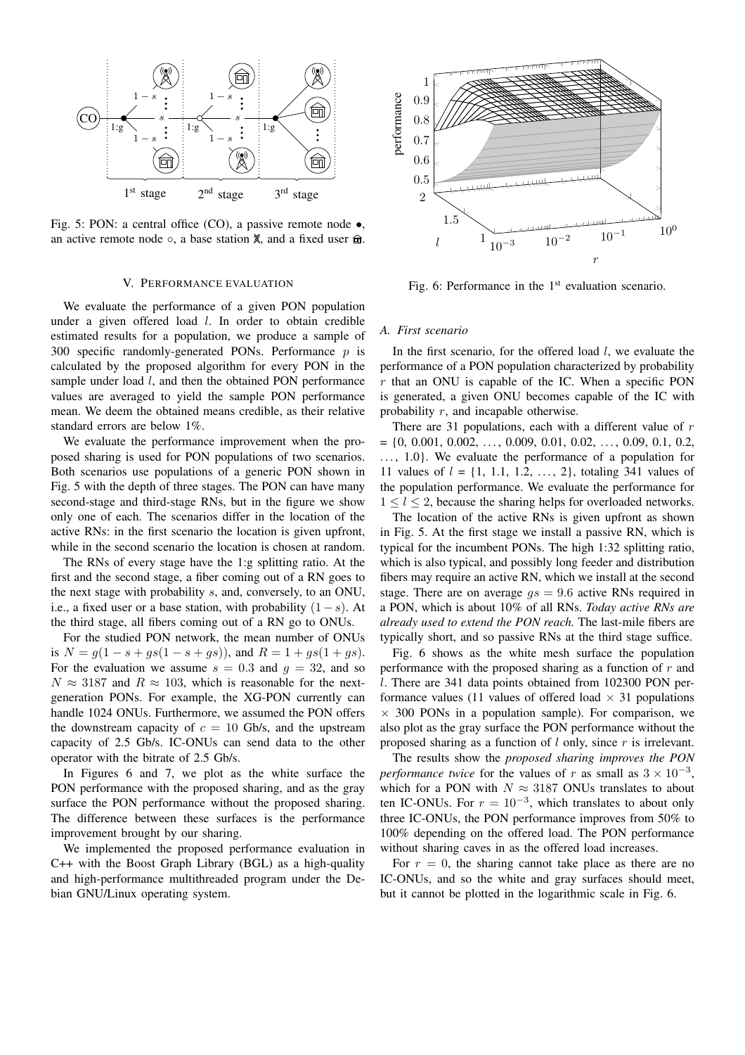

Fig. 5: PON: a central office (CO), a passive remote node  $\bullet$ , an active remote node  $\circ$ , a base station  $\%$ , and a fixed user  $\hat{m}$ .

#### V. PERFORMANCE EVALUATION

We evaluate the performance of a given PON population under a given offered load  $l$ . In order to obtain credible estimated results for a population, we produce a sample of 300 specific randomly-generated PONs. Performance  $p$  is calculated by the proposed algorithm for every PON in the sample under load *l*, and then the obtained PON performance values are averaged to yield the sample PON performance mean. We deem the obtained means credible, as their relative standard errors are below 1%.

We evaluate the performance improvement when the proposed sharing is used for PON populations of two scenarios. Both scenarios use populations of a generic PON shown in Fig. 5 with the depth of three stages. The PON can have many second-stage and third-stage RNs, but in the figure we show only one of each. The scenarios differ in the location of the active RNs: in the first scenario the location is given upfront, while in the second scenario the location is chosen at random.

The RNs of every stage have the 1:g splitting ratio. At the first and the second stage, a fiber coming out of a RN goes to the next stage with probability s, and, conversely, to an ONU, i.e., a fixed user or a base station, with probability  $(1-s)$ . At the third stage, all fibers coming out of a RN go to ONUs.

For the studied PON network, the mean number of ONUs is  $N = g(1 - s + gs(1 - s + gs))$ , and  $R = 1 + gs(1 + gs)$ . For the evaluation we assume  $s = 0.3$  and  $q = 32$ , and so  $N \approx 3187$  and  $R \approx 103$ , which is reasonable for the nextgeneration PONs. For example, the XG-PON currently can handle 1024 ONUs. Furthermore, we assumed the PON offers the downstream capacity of  $c = 10$  Gb/s, and the upstream capacity of 2.5 Gb/s. IC-ONUs can send data to the other operator with the bitrate of 2.5 Gb/s.

In Figures 6 and 7, we plot as the white surface the PON performance with the proposed sharing, and as the gray surface the PON performance without the proposed sharing. The difference between these surfaces is the performance improvement brought by our sharing.

We implemented the proposed performance evaluation in C++ with the Boost Graph Library (BGL) as a high-quality and high-performance multithreaded program under the Debian GNU/Linux operating system.



Fig. 6: Performance in the  $1<sup>st</sup>$  evaluation scenario.

## *A. First scenario*

In the first scenario, for the offered load  $l$ , we evaluate the performance of a PON population characterized by probability  $r$  that an ONU is capable of the IC. When a specific PON is generated, a given ONU becomes capable of the IC with probability  $r$ , and incapable otherwise.

There are 31 populations, each with a different value of  $r$  $= \{0, 0.001, 0.002, \ldots, 0.009, 0.01, 0.02, \ldots, 0.09, 0.1, 0.2, \ldots, 0.00, 0.00, \ldots, 0.00, 0.00, \ldots, 0.00, 0.00, \ldots, 0.00, 0.00, \ldots, 0.00, 0.00, \ldots, 0.00, 0.00, \ldots, 0.00, 0.00, \ldots, 0.00, 0.00, \ldots, 0.00, 0.00, \ldots, 0.00, 0.0$ ..., 1.0}. We evaluate the performance of a population for 11 values of  $l = \{1, 1.1, 1.2, ..., 2\}$ , totaling 341 values of the population performance. We evaluate the performance for  $1 < l < 2$ , because the sharing helps for overloaded networks.

The location of the active RNs is given upfront as shown in Fig. 5. At the first stage we install a passive RN, which is typical for the incumbent PONs. The high 1:32 splitting ratio, which is also typical, and possibly long feeder and distribution fibers may require an active RN, which we install at the second stage. There are on average  $gs = 9.6$  active RNs required in a PON, which is about 10% of all RNs. *Today active RNs are already used to extend the PON reach.* The last-mile fibers are typically short, and so passive RNs at the third stage suffice.

Fig. 6 shows as the white mesh surface the population performance with the proposed sharing as a function of  $r$  and l. There are 341 data points obtained from 102300 PON performance values (11 values of offered load  $\times$  31 populations  $\times$  300 PONs in a population sample). For comparison, we also plot as the gray surface the PON performance without the proposed sharing as a function of  $l$  only, since  $r$  is irrelevant.

The results show the *proposed sharing improves the PON performance twice* for the values of r as small as  $3 \times 10^{-3}$ , which for a PON with  $N \approx 3187$  ONUs translates to about ten IC-ONUs. For  $r = 10^{-3}$ , which translates to about only three IC-ONUs, the PON performance improves from 50% to 100% depending on the offered load. The PON performance without sharing caves in as the offered load increases.

For  $r = 0$ , the sharing cannot take place as there are no IC-ONUs, and so the white and gray surfaces should meet, but it cannot be plotted in the logarithmic scale in Fig. 6.